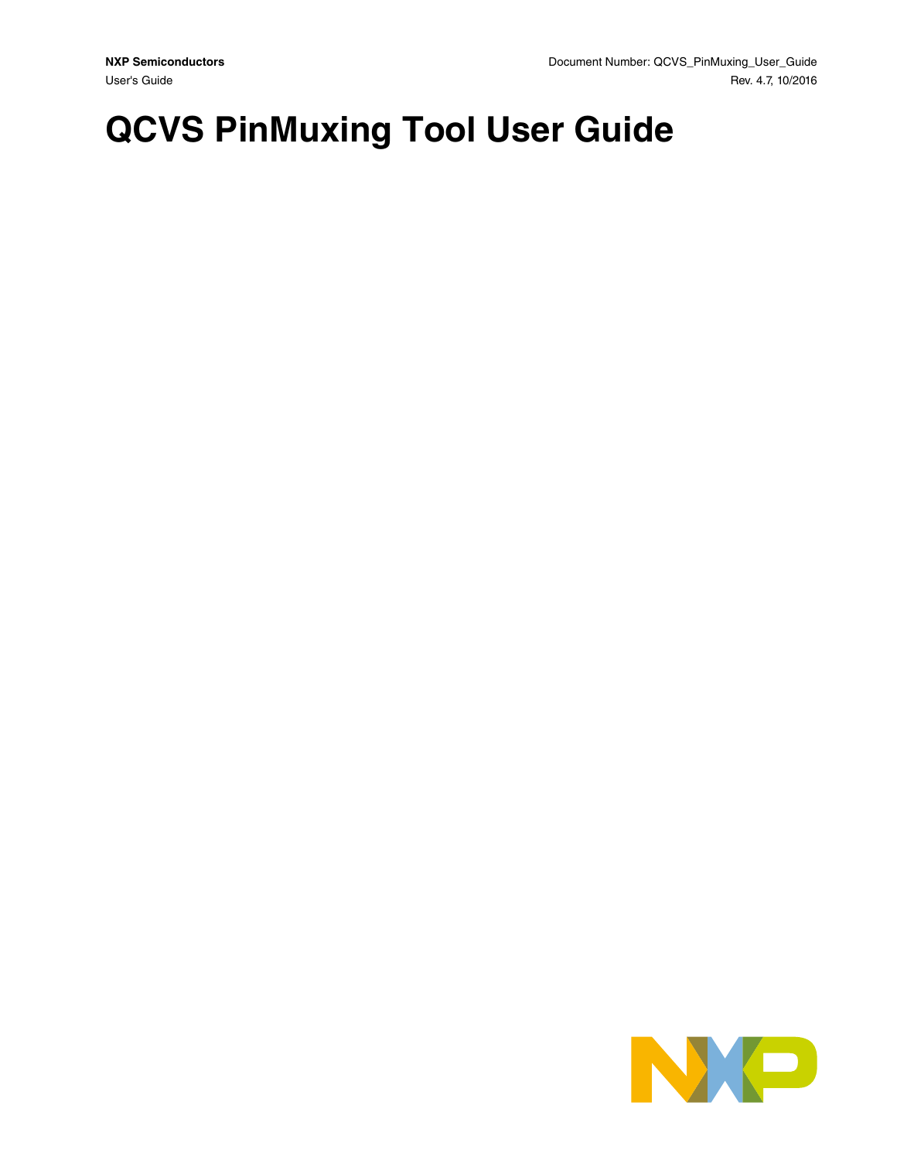# **QCVS PinMuxing Tool User Guide**

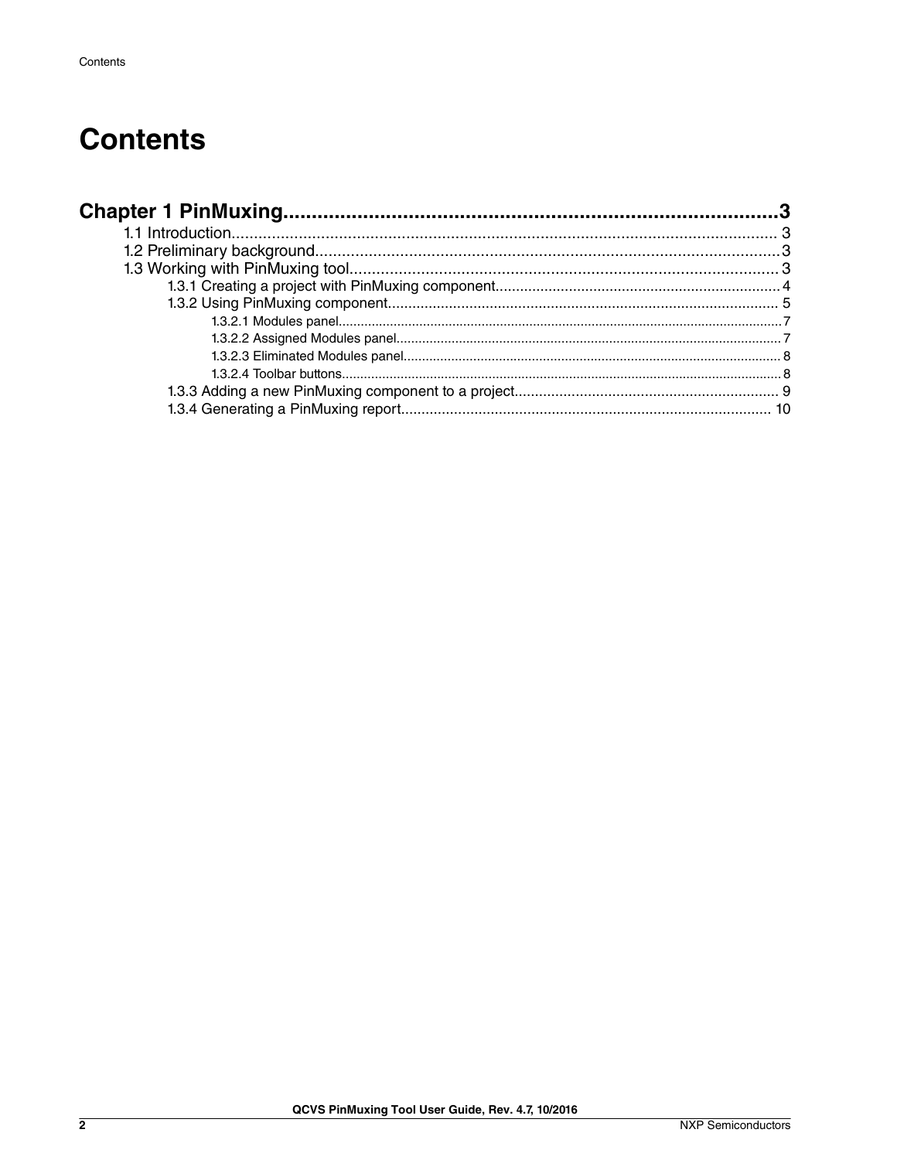## **Contents**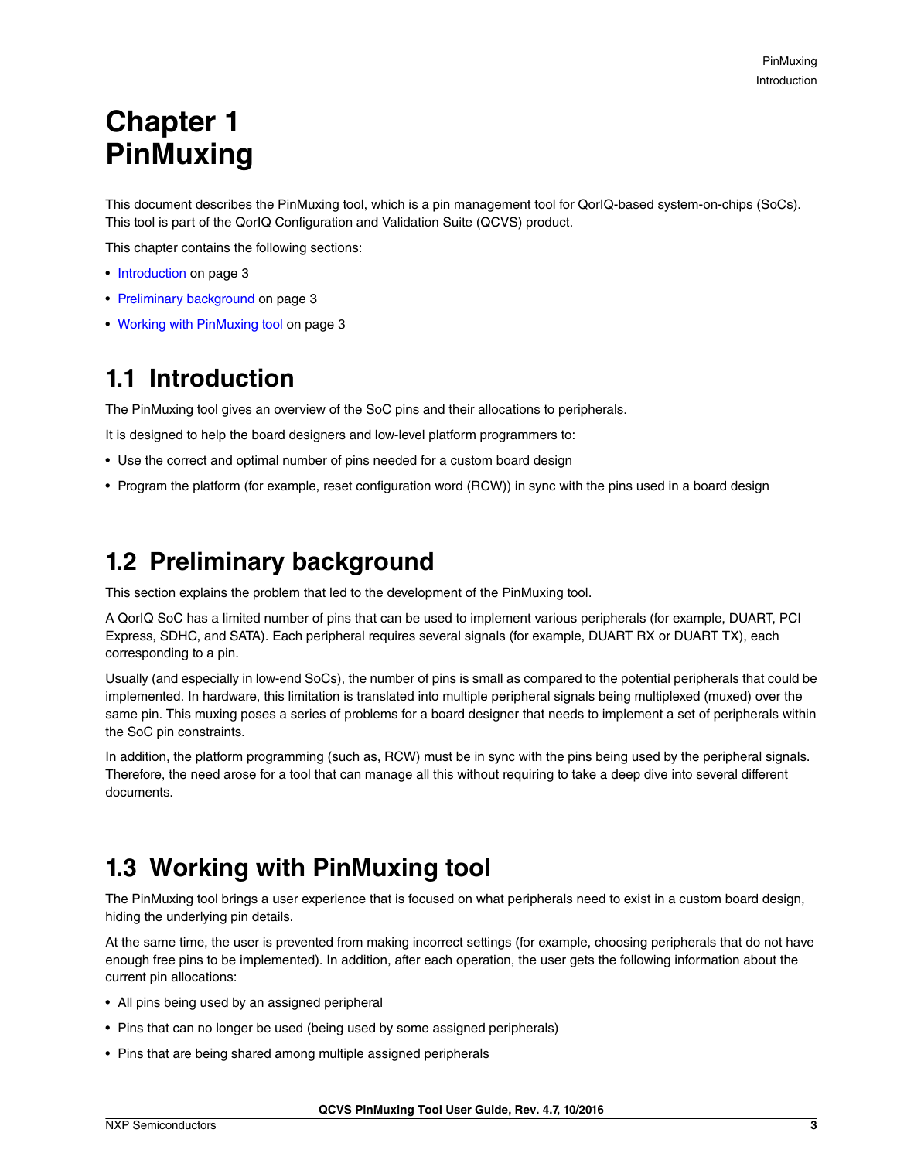## <span id="page-2-0"></span>**Chapter 1 PinMuxing**

This document describes the PinMuxing tool, which is a pin management tool for QorIQ-based system-on-chips (SoCs). This tool is part of the QorIQ Configuration and Validation Suite (QCVS) product.

This chapter contains the following sections:

- Introduction on page 3
- Preliminary background on page 3
- Working with PinMuxing tool on page 3

## **1.1 Introduction**

The PinMuxing tool gives an overview of the SoC pins and their allocations to peripherals.

It is designed to help the board designers and low-level platform programmers to:

- Use the correct and optimal number of pins needed for a custom board design
- Program the platform (for example, reset configuration word (RCW)) in sync with the pins used in a board design

## **1.2 Preliminary background**

This section explains the problem that led to the development of the PinMuxing tool.

A QorIQ SoC has a limited number of pins that can be used to implement various peripherals (for example, DUART, PCI Express, SDHC, and SATA). Each peripheral requires several signals (for example, DUART RX or DUART TX), each corresponding to a pin.

Usually (and especially in low-end SoCs), the number of pins is small as compared to the potential peripherals that could be implemented. In hardware, this limitation is translated into multiple peripheral signals being multiplexed (muxed) over the same pin. This muxing poses a series of problems for a board designer that needs to implement a set of peripherals within the SoC pin constraints.

In addition, the platform programming (such as, RCW) must be in sync with the pins being used by the peripheral signals. Therefore, the need arose for a tool that can manage all this without requiring to take a deep dive into several different documents.

## **1.3 Working with PinMuxing tool**

The PinMuxing tool brings a user experience that is focused on what peripherals need to exist in a custom board design, hiding the underlying pin details.

At the same time, the user is prevented from making incorrect settings (for example, choosing peripherals that do not have enough free pins to be implemented). In addition, after each operation, the user gets the following information about the current pin allocations:

- All pins being used by an assigned peripheral
- Pins that can no longer be used (being used by some assigned peripherals)
- Pins that are being shared among multiple assigned peripherals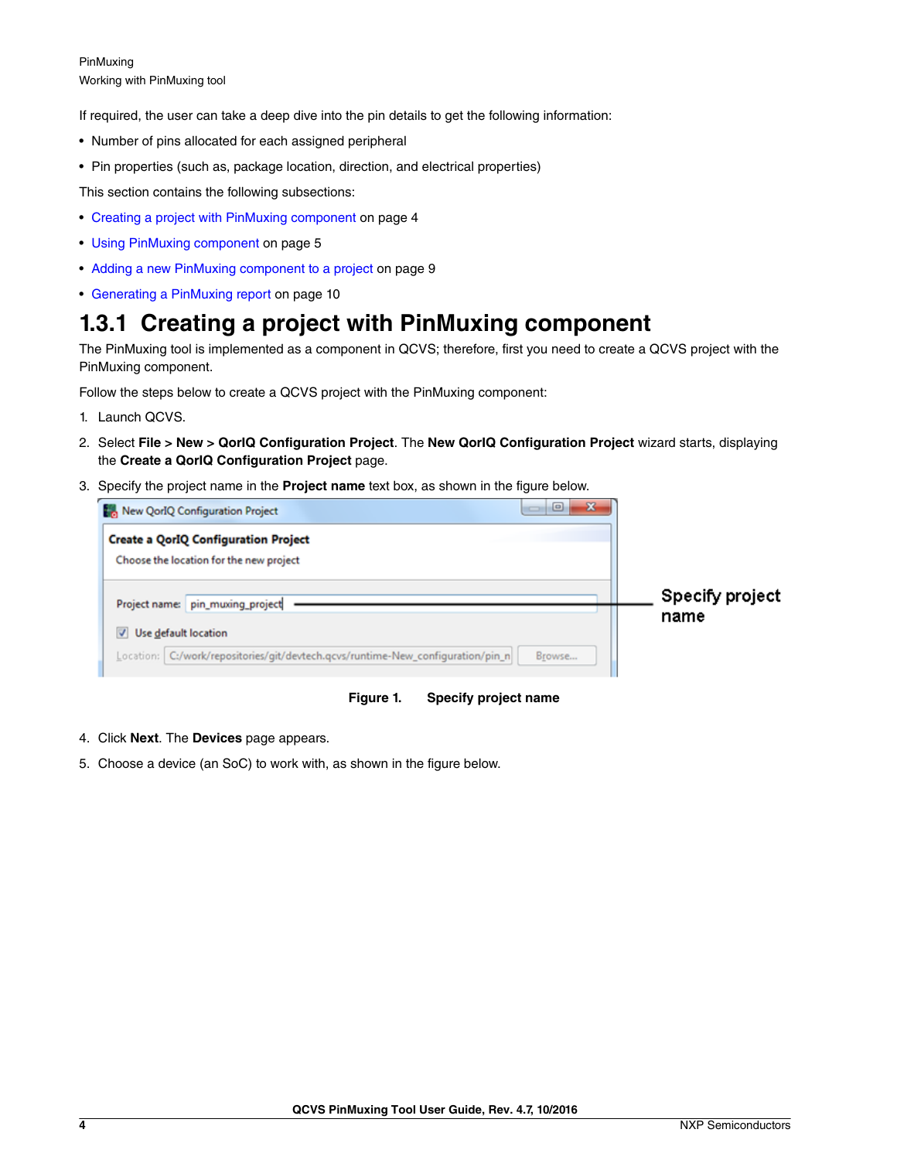<span id="page-3-0"></span>PinMuxing Working with PinMuxing tool

If required, the user can take a deep dive into the pin details to get the following information:

- Number of pins allocated for each assigned peripheral
- Pin properties (such as, package location, direction, and electrical properties)

This section contains the following subsections:

- Creating a project with PinMuxing component on page 4
- [Using PinMuxing component](#page-4-0) on page 5
- [Adding a new PinMuxing component to a project](#page-8-0) on page 9
- [Generating a PinMuxing report](#page-9-0) on page 10

### **1.3.1 Creating a project with PinMuxing component**

The PinMuxing tool is implemented as a component in QCVS; therefore, first you need to create a QCVS project with the PinMuxing component.

Follow the steps below to create a QCVS project with the PinMuxing component:

- 1. Launch QCVS.
- 2. Select **File > New > QorIQ Configuration Project**. The **New QorIQ Configuration Project** wizard starts, displaying the **Create a QorIQ Configuration Project** page.
- 3. Specify the project name in the **Project name** text box, as shown in the figure below.

| $\Box$<br>$\mathbf{x}$<br>New QorlQ Configuration Project                                                         |                         |
|-------------------------------------------------------------------------------------------------------------------|-------------------------|
| <b>Create a QorIQ Configuration Project</b><br>Choose the location for the new project                            |                         |
| Project name: pin_muxing_project                                                                                  | Specify project<br>name |
| Use default location<br>Location: C:/work/repositories/git/devtech.qcvs/runtime-New_configuration/pin_n<br>Browse |                         |



- 4. Click **Next**. The **Devices** page appears.
- 5. Choose a device (an SoC) to work with, as shown in the figure below.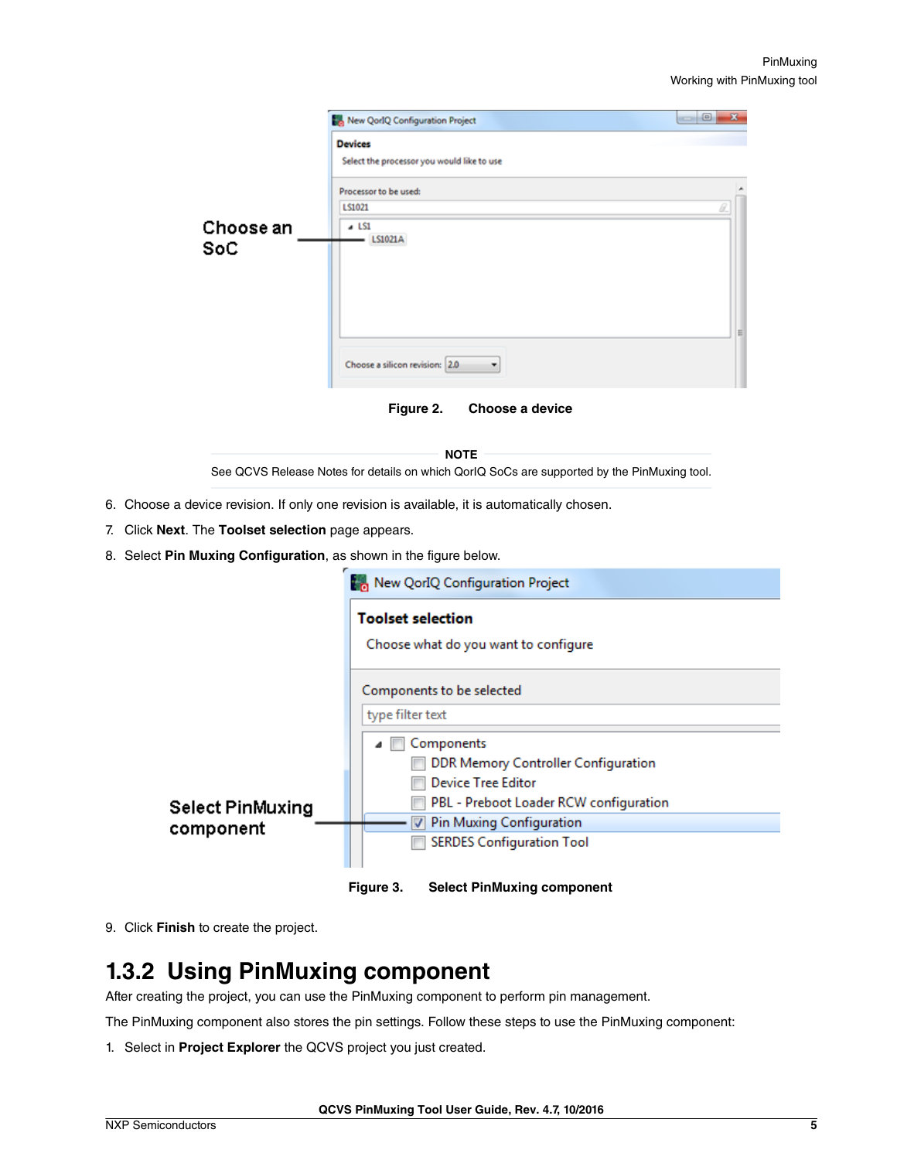<span id="page-4-0"></span>

|                         | New QorlQ Configuration Project                              | $\mathbf{x}$<br>$\overline{\phantom{a}}$ |
|-------------------------|--------------------------------------------------------------|------------------------------------------|
|                         | <b>Devices</b><br>Select the processor you would like to use |                                          |
|                         | Processor to be used:<br>LS1021                              | Ü.                                       |
| Choose an<br><b>SoC</b> | $-$ LS1<br>LS1021A                                           | Е                                        |
|                         | Choose a silicon revision: 2.0<br>٠                          |                                          |
|                         | Figure 2. Choose a device                                    |                                          |

See QCVS Release Notes for details on which QorIQ SoCs are supported by the PinMuxing tool.  **NOTE** 

6. Choose a device revision. If only one revision is available, it is automatically chosen.

- 7. Click **Next**. The **Toolset selection** page appears.
- 8. Select **Pin Muxing Configuration**, as shown in the figure below.

|                         | <b>New QorIQ Configuration Project</b>                           |
|-------------------------|------------------------------------------------------------------|
|                         | <b>Toolset selection</b><br>Choose what do you want to configure |
|                         |                                                                  |
|                         | Components to be selected                                        |
|                         | type filter text                                                 |
|                         | Components<br>◢                                                  |
|                         | DDR Memory Controller Configuration                              |
|                         | <b>Device Tree Editor</b>                                        |
| <b>Select PinMuxing</b> | PBL - Preboot Loader RCW configuration                           |
| component               | <b>Pin Muxing Configuration</b>                                  |
|                         | <b>SERDES Configuration Tool</b>                                 |
|                         |                                                                  |



9. Click **Finish** to create the project.

### **1.3.2 Using PinMuxing component**

After creating the project, you can use the PinMuxing component to perform pin management.

The PinMuxing component also stores the pin settings. Follow these steps to use the PinMuxing component:

1. Select in **Project Explorer** the QCVS project you just created.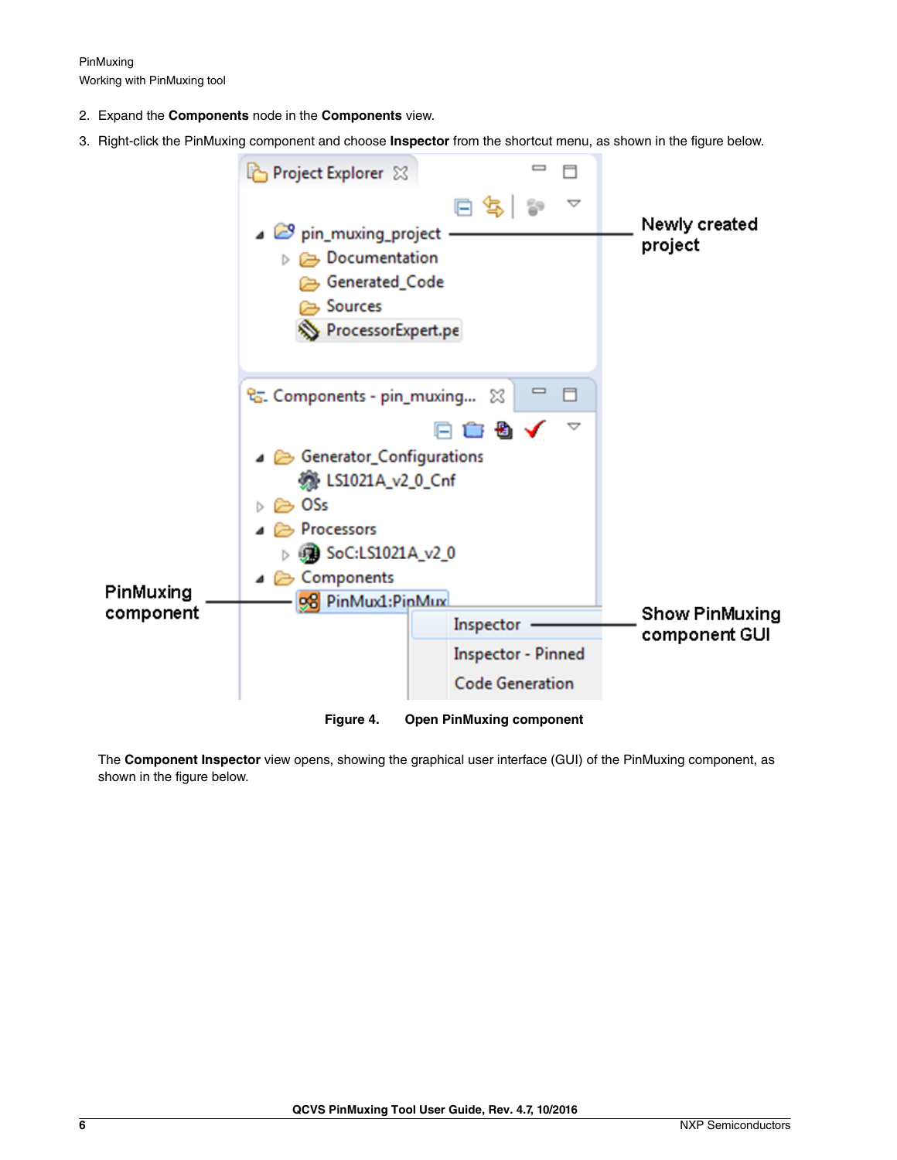PinMuxing Working with PinMuxing tool

- 2. Expand the **Components** node in the **Components** view.
- 3. Right-click the PinMuxing component and choose **Inspector** from the shortcut menu, as shown in the figure below.



The **Component Inspector** view opens, showing the graphical user interface (GUI) of the PinMuxing component, as shown in the figure below.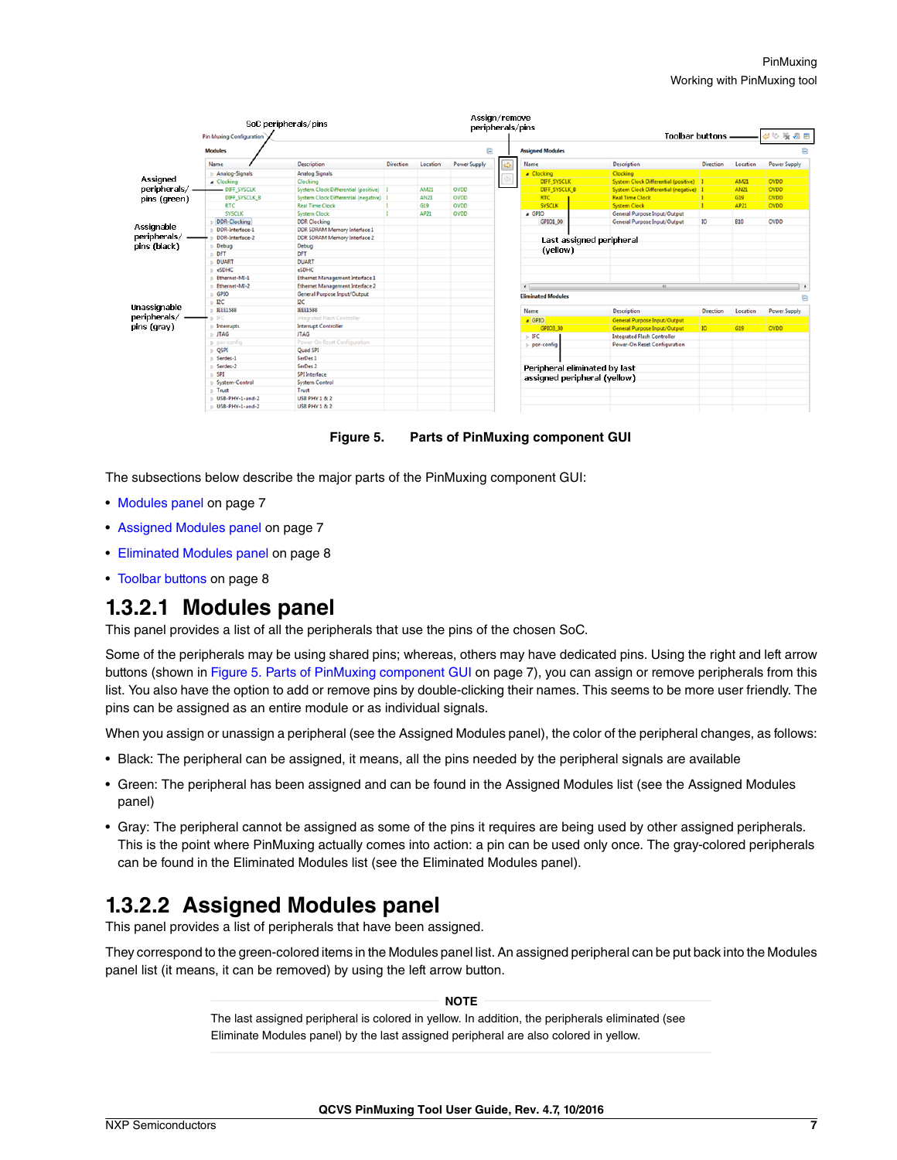<span id="page-6-0"></span>

|                                                                                                                                        |                             | SoC peripherals/pins                     |                  |             | Assign/remove       | peripherals/pins              |                                          |                  |                 |                                      |
|----------------------------------------------------------------------------------------------------------------------------------------|-----------------------------|------------------------------------------|------------------|-------------|---------------------|-------------------------------|------------------------------------------|------------------|-----------------|--------------------------------------|
|                                                                                                                                        | Pin Muxing Configuration    |                                          |                  |             |                     |                               | <b>Toolbar buttons</b>                   |                  |                 | $\phi\otimes\mathbb{R}$ a $\boxplus$ |
|                                                                                                                                        | <b>Modules</b>              |                                          |                  |             | e                   | <b>Assigned Modules</b>       |                                          |                  |                 | E                                    |
|                                                                                                                                        | Name                        | <b>Description</b>                       | <b>Direction</b> | Location    | <b>Power Supply</b> | Name                          | Description                              | <b>Direction</b> | Location        | <b>Power Supply</b>                  |
|                                                                                                                                        | Analog-Signals              | <b>Analog Signals</b>                    |                  |             |                     | Clocking                      | Clocking                                 |                  |                 |                                      |
|                                                                                                                                        | a Clocking                  | Clocking                                 |                  |             |                     | <b>DIFF SYSCLK</b>            | System Clock Differential (positive)     |                  | <b>AM21</b>     | <b>OVDD</b>                          |
|                                                                                                                                        | - DIFF_SYSCLK               | System Clock Differential (positive)     |                  | <b>AM21</b> | <b>OVDD</b>         | DIFF_SYSCLK_B                 | System Clock Differential (negative)   1 |                  | <b>AN21</b>     | <b>OVDD</b>                          |
|                                                                                                                                        | DIFF_SYSCLK_B               | System Clock Differential (negative)   I |                  | <b>AN21</b> | <b>OVDD</b>         | <b>RTC</b>                    | <b>Real Time Clock</b>                   | п                | G19             | <b>OVDD</b>                          |
| Assigned<br>peripherals/.<br>pins (green)<br>Assignable<br>peripherals/<br>pins (black)<br>Unassignable<br>peripherals/<br>pins (gray) | <b>RTC</b>                  | <b>Real Time Clock</b>                   |                  | G19         | <b>OVDD</b>         | <b>SYSCLK</b>                 | <b>System Clock</b>                      | п                | <b>AP21</b>     | <b>OVDD</b>                          |
|                                                                                                                                        | <b>SYSCLK</b>               | <b>System Clock</b>                      |                  | AP21        | <b>OVDD</b>         | $\triangle$ GPIO              | General Purpose Input/Output             |                  |                 |                                      |
|                                                                                                                                        | <b>DDR-Clocking</b>         | <b>DDR Clocking</b>                      |                  |             |                     | GPIO1 00                      | General Purpose Input/Output             | 10               | <b>B10</b>      | OVDD                                 |
|                                                                                                                                        | DDR-Interface-1             | DDR SDRAM Memory Interface 1             |                  |             |                     |                               |                                          |                  |                 |                                      |
|                                                                                                                                        | DDR-Interface-2             | DDR SDRAM Memory Interface 2             |                  |             |                     | Last assigned peripheral      |                                          |                  |                 |                                      |
|                                                                                                                                        | Debug                       | Debug                                    |                  |             |                     |                               |                                          |                  |                 |                                      |
|                                                                                                                                        | <b>DFT</b>                  | DFT                                      |                  |             |                     | (yellow)                      |                                          |                  |                 |                                      |
|                                                                                                                                        | <b>DUART</b>                | <b>DUART</b>                             |                  |             |                     |                               |                                          |                  |                 |                                      |
|                                                                                                                                        | eSDHC                       | eSDHC                                    |                  |             |                     |                               |                                          |                  |                 |                                      |
|                                                                                                                                        | Ethernet-MI-1               | Ethernet Management Interface 1          |                  |             |                     |                               |                                          |                  |                 |                                      |
|                                                                                                                                        | Ethernet-MI-2               | <b>Ethernet Management Interface 2</b>   |                  |             |                     | $\leftarrow$                  | $m$ .                                    |                  |                 |                                      |
|                                                                                                                                        | $\triangleright$ GPIO       | General Purpose Input/Output             |                  |             |                     | <b>Eliminated Modules</b>     |                                          |                  |                 |                                      |
|                                                                                                                                        | $>$ DC                      | $_{\text{I2C}}$                          |                  |             |                     |                               |                                          |                  |                 |                                      |
|                                                                                                                                        | $\triangleright$ IEEE1588   | <b>IEEE1588</b>                          |                  |             |                     | Name                          | Description                              | Direction        | Location        | <b>Power Supply</b>                  |
|                                                                                                                                        | b IFC                       | Integrated Flash Controller              |                  |             |                     | GPIO                          | <b>General Purpose Input/Output</b>      |                  |                 |                                      |
|                                                                                                                                        | $\triangleright$ Interrupts | <b>Interrupt Controller</b>              |                  |             |                     | GPIO3_30                      | <b>General Purpose Input/Output</b>      | IO               | G <sub>19</sub> | <b>OVDD</b>                          |
|                                                                                                                                        | $D$ JTAG                    | <b>JTAG</b>                              |                  |             |                     | $\triangleright$ IFC          | <b>Integrated Flash Controller</b>       |                  |                 |                                      |
|                                                                                                                                        | b por-config                | Power-On Reset Configuration             |                  |             |                     | por-config                    | Power-On Reset Configuration             |                  |                 |                                      |
|                                                                                                                                        | D QSPI                      | Quad SPI                                 |                  |             |                     |                               |                                          |                  |                 |                                      |
|                                                                                                                                        | Serdes-1                    | SerDes 1                                 |                  |             |                     |                               |                                          |                  |                 |                                      |
|                                                                                                                                        | Serdes-2                    | SerDes <sub>2</sub>                      |                  |             |                     | Peripheral eliminated by last |                                          |                  |                 |                                      |
|                                                                                                                                        | $\triangleright$ SPI        | SPI Interface                            |                  |             |                     | assigned peripheral (yellow)  |                                          |                  |                 |                                      |
|                                                                                                                                        | System-Control              | <b>System Control</b>                    |                  |             |                     |                               |                                          |                  |                 |                                      |
|                                                                                                                                        | $\triangleright$ Trust      | Trust                                    |                  |             |                     |                               |                                          |                  |                 |                                      |
|                                                                                                                                        | D USB-PHY-1-and-2           | <b>USB PHY 1 &amp; 2</b>                 |                  |             |                     |                               |                                          |                  |                 |                                      |
|                                                                                                                                        | USB-PHY-1-and-2             | <b>USB PHY 1 &amp; 2</b>                 |                  |             |                     |                               |                                          |                  |                 |                                      |

**Figure 5. Parts of PinMuxing component GUI**

The subsections below describe the major parts of the PinMuxing component GUI:

- Modules panel on page 7
- Assigned Modules panel on page 7
- [Eliminated Modules panel](#page-7-0) on page 8
- [Toolbar buttons](#page-7-0) on page 8

#### **1.3.2.1 Modules panel**

This panel provides a list of all the peripherals that use the pins of the chosen SoC.

Some of the peripherals may be using shared pins; whereas, others may have dedicated pins. Using the right and left arrow buttons (shown in Figure 5. Parts of PinMuxing component GUI on page 7), you can assign or remove peripherals from this list. You also have the option to add or remove pins by double-clicking their names. This seems to be more user friendly. The pins can be assigned as an entire module or as individual signals.

When you assign or unassign a peripheral (see the Assigned Modules panel), the color of the peripheral changes, as follows:

- Black: The peripheral can be assigned, it means, all the pins needed by the peripheral signals are available
- Green: The peripheral has been assigned and can be found in the Assigned Modules list (see the Assigned Modules panel)
- Gray: The peripheral cannot be assigned as some of the pins it requires are being used by other assigned peripherals. This is the point where PinMuxing actually comes into action: a pin can be used only once. The gray-colored peripherals can be found in the Eliminated Modules list (see the Eliminated Modules panel).

### **1.3.2.2 Assigned Modules panel**

This panel provides a list of peripherals that have been assigned.

They correspond to the green-colored items in the Modules panel list. An assigned peripheral can be put back into the Modules panel list (it means, it can be removed) by using the left arrow button.

 **NOTE** 

The last assigned peripheral is colored in yellow. In addition, the peripherals eliminated (see Eliminate Modules panel) by the last assigned peripheral are also colored in yellow.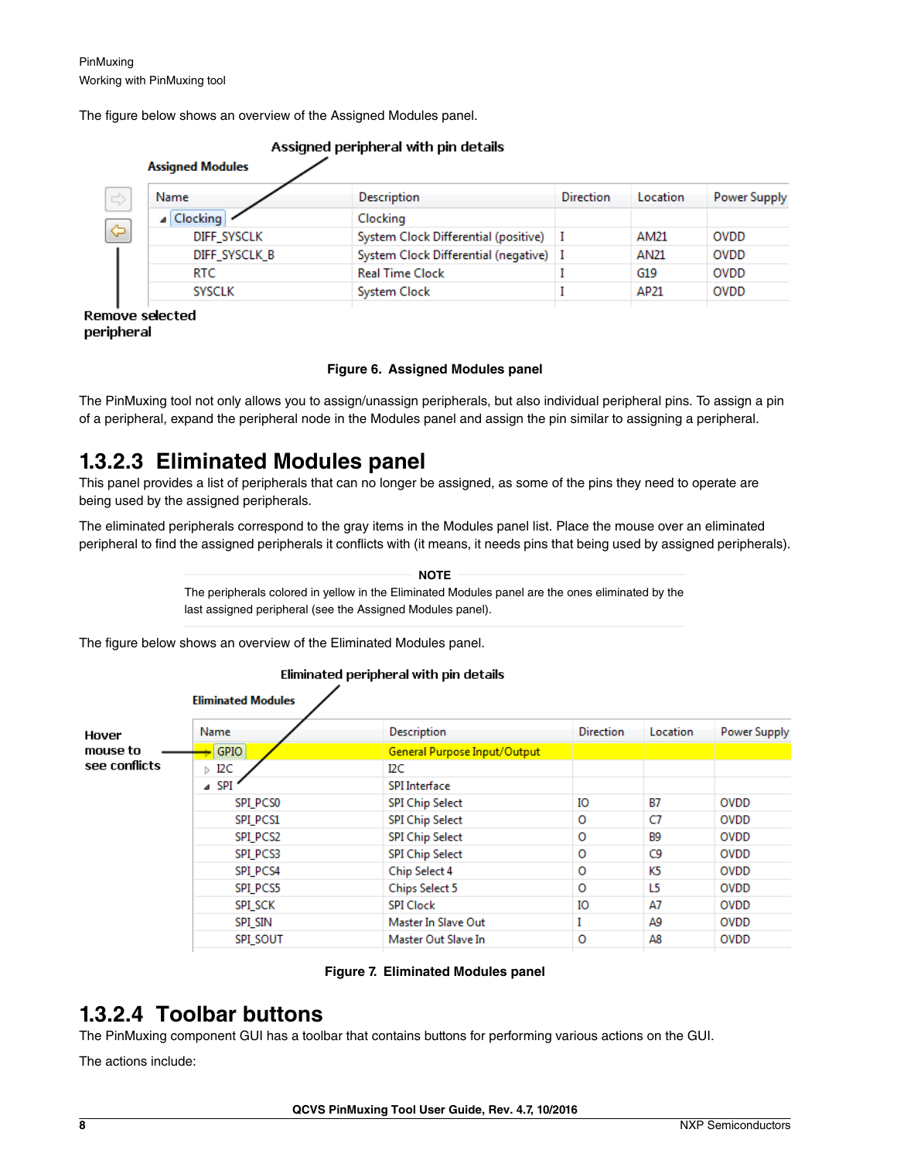<span id="page-7-0"></span>The figure below shows an overview of the Assigned Modules panel.

| Name               | <b>Description</b>                       | <b>Direction</b> | Location | Power Supply |
|--------------------|------------------------------------------|------------------|----------|--------------|
| Clocking<br>◢      | Clocking                                 |                  |          |              |
| <b>DIFF SYSCLK</b> | System Clock Differential (positive)     |                  | AM21     | <b>OVDD</b>  |
| DIFF SYSCLK B      | System Clock Differential (negative)   I |                  | AN21     | <b>OVDD</b>  |
| <b>RTC</b>         | <b>Real Time Clock</b>                   |                  | G19      | <b>OVDD</b>  |
| <b>SYSCLK</b>      | System Clock                             |                  | AP21     | <b>OVDD</b>  |

#### Accionad novisional utils nin dataile

R. peripheral

#### **Figure 6. Assigned Modules panel**

The PinMuxing tool not only allows you to assign/unassign peripherals, but also individual peripheral pins. To assign a pin of a peripheral, expand the peripheral node in the Modules panel and assign the pin similar to assigning a peripheral.

### **1.3.2.3 Eliminated Modules panel**

This panel provides a list of peripherals that can no longer be assigned, as some of the pins they need to operate are being used by the assigned peripherals.

The eliminated peripherals correspond to the gray items in the Modules panel list. Place the mouse over an eliminated peripheral to find the assigned peripherals it conflicts with (it means, it needs pins that being used by assigned peripherals).

#### The peripherals colored in yellow in the Eliminated Modules panel are the ones eliminated by the last assigned peripheral (see the Assigned Modules panel).  **NOTE**

The figure below shows an overview of the Eliminated Modules panel.

#### Eliminated peripheral with pin details

|                                    | <b>Eliminated Modules</b> |                              |                  |                |              |  |
|------------------------------------|---------------------------|------------------------------|------------------|----------------|--------------|--|
| Hover<br>mouse to<br>see conflicts | Name                      | <b>Description</b>           | <b>Direction</b> | Location       | Power Supply |  |
|                                    | <b>GPIO</b>               | General Purpose Input/Output |                  |                |              |  |
|                                    | $\triangleright$ I2C      | I2C.                         |                  |                |              |  |
|                                    | $\triangle$ SPI           | <b>SPI</b> Interface         |                  |                |              |  |
|                                    | SPI PCS0                  | <b>SPI Chip Select</b>       | IO               | <b>B7</b>      | <b>OVDD</b>  |  |
|                                    | SPI PCS1                  | <b>SPI Chip Select</b>       | 0                | C7             | <b>OVDD</b>  |  |
|                                    | SPI PCS2                  | <b>SPI Chip Select</b>       | O                | <b>B9</b>      | <b>OVDD</b>  |  |
|                                    | <b>SPI PCS3</b>           | <b>SPI Chip Select</b>       | $\circ$          | C <sub>9</sub> | <b>OVDD</b>  |  |
|                                    | SPI_PCS4                  | Chip Select 4                | O                | K5             | <b>OVDD</b>  |  |
|                                    | SPI PCS5                  | <b>Chips Select 5</b>        | O                | L5             | <b>OVDD</b>  |  |
|                                    | <b>SPI SCK</b>            | <b>SPI Clock</b>             | IО               | A7             | <b>OVDD</b>  |  |
|                                    | SPI SIN                   | Master In Slave Out          | I                | A9             | <b>OVDD</b>  |  |
|                                    | <b>SPI SOUT</b>           | Master Out Slave In          | $\circ$          | A8             | <b>OVDD</b>  |  |
|                                    |                           |                              |                  |                |              |  |

#### **Figure 7. Eliminated Modules panel**

### **1.3.2.4 Toolbar buttons**

The PinMuxing component GUI has a toolbar that contains buttons for performing various actions on the GUI.

The actions include: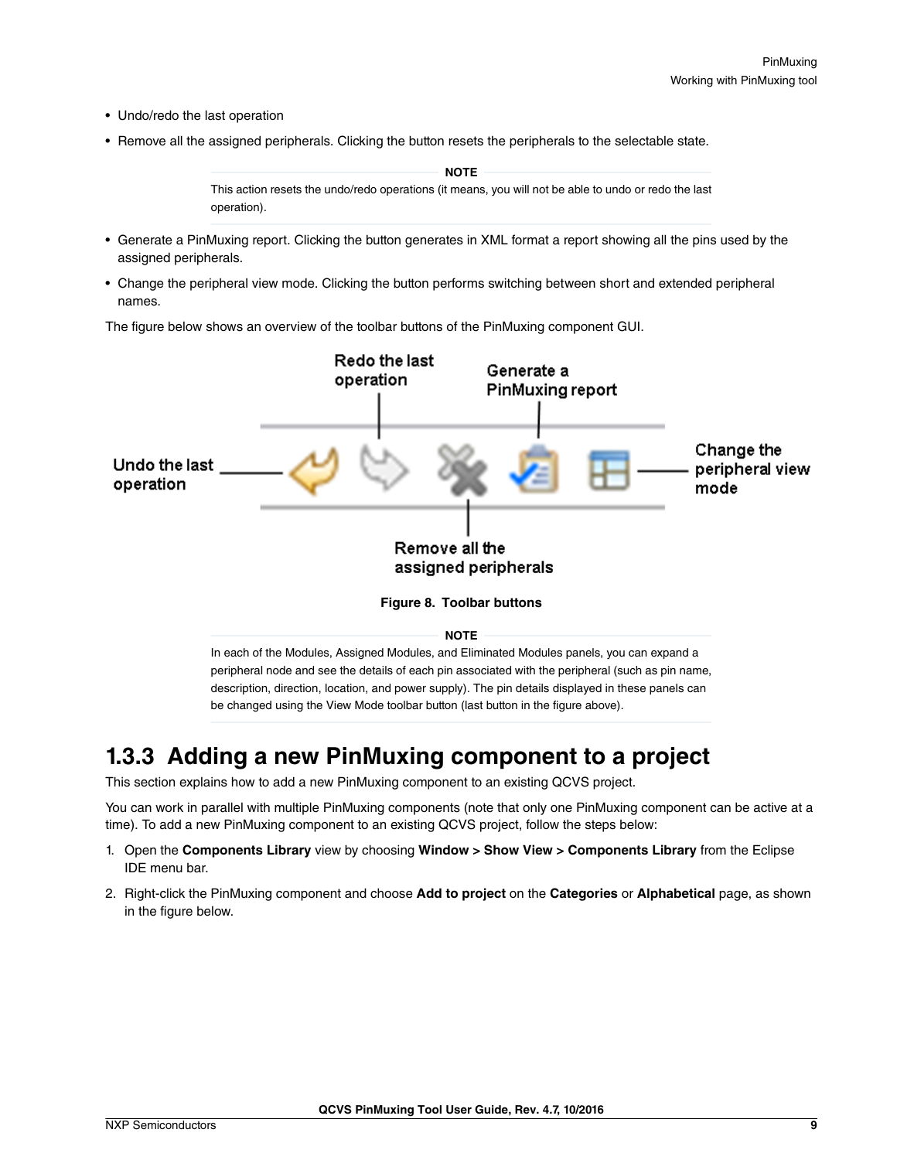- <span id="page-8-0"></span>• Undo/redo the last operation
- Remove all the assigned peripherals. Clicking the button resets the peripherals to the selectable state.

This action resets the undo/redo operations (it means, you will not be able to undo or redo the last operation).  **NOTE** 

- Generate a PinMuxing report. Clicking the button generates in XML format a report showing all the pins used by the assigned peripherals.
- Change the peripheral view mode. Clicking the button performs switching between short and extended peripheral names.

The figure below shows an overview of the toolbar buttons of the PinMuxing component GUI.



**1.3.3 Adding a new PinMuxing component to a project**

be changed using the View Mode toolbar button (last button in the figure above).

This section explains how to add a new PinMuxing component to an existing QCVS project.

You can work in parallel with multiple PinMuxing components (note that only one PinMuxing component can be active at a time). To add a new PinMuxing component to an existing QCVS project, follow the steps below:

- 1. Open the **Components Library** view by choosing **Window > Show View > Components Library** from the Eclipse IDE menu bar.
- 2. Right-click the PinMuxing component and choose **Add to project** on the **Categories** or **Alphabetical** page, as shown in the figure below.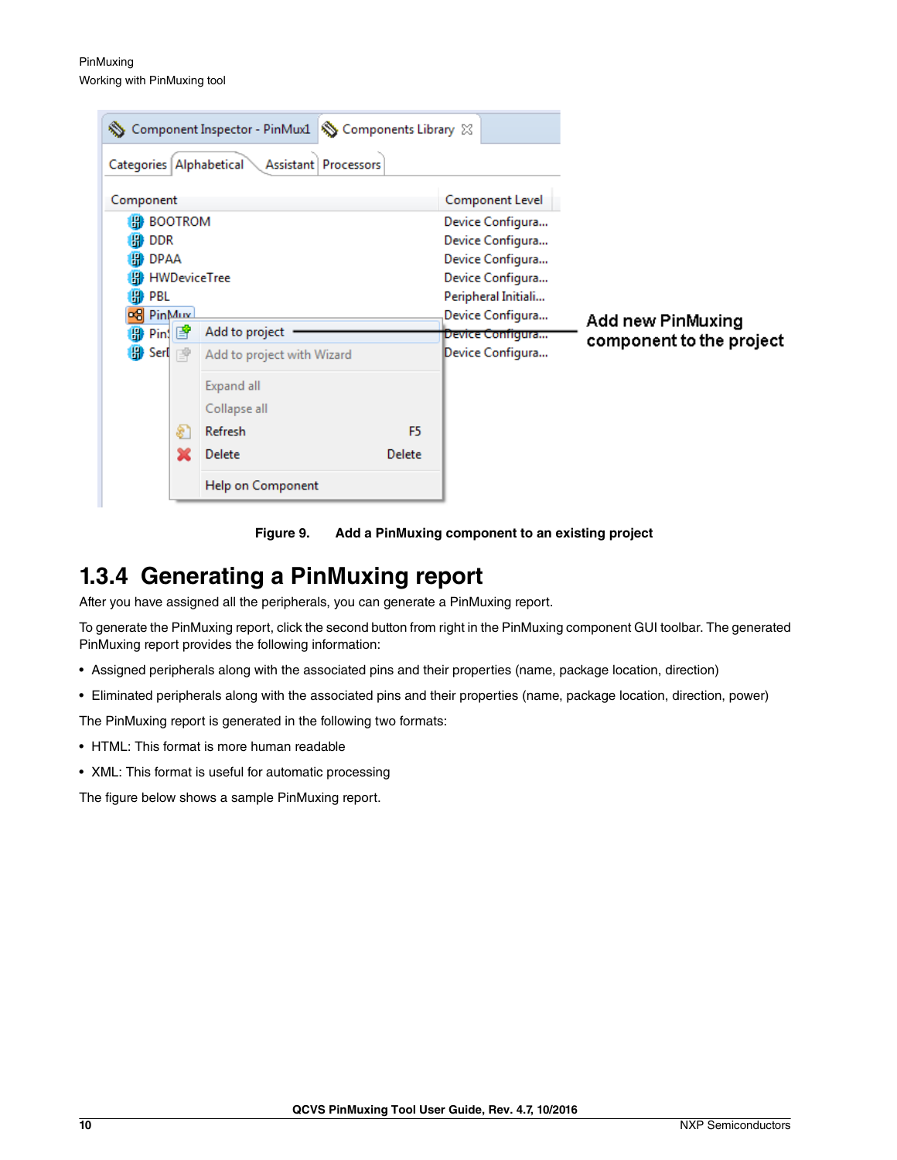<span id="page-9-0"></span>PinMuxing Working with PinMuxing tool

| Categories Alphabetical                                                                                                                                                 | Component Inspector - PinMux1<br>Assistant Processors                                                                       | Components Library & |                                                                                                                                                                                           |                                               |
|-------------------------------------------------------------------------------------------------------------------------------------------------------------------------|-----------------------------------------------------------------------------------------------------------------------------|----------------------|-------------------------------------------------------------------------------------------------------------------------------------------------------------------------------------------|-----------------------------------------------|
| Component<br><b>H</b> BOOTROM<br>H <sup>2</sup> DDR<br><b>H</b> DPAA<br><b>HWDeviceTree</b><br>₩<br>PBL<br><b>co</b> PinMux<br><b>∰ Pin</b> ∰<br><b>B</b> Serl p<br>\$, | Add to project<br>Add to project with Wizard<br>Expand all<br>Collapse all<br>Refresh<br><b>Delete</b><br>Help on Component | F5<br>Delete         | <b>Component Level</b><br>Device Configura<br>Device Configura<br>Device Configura<br>Device Configura<br>Peripheral Initiali<br>Device Configura<br>Device Configura<br>Device Configura | Add new PinMuxing<br>component to the project |

**Figure 9. Add a PinMuxing component to an existing project**

### **1.3.4 Generating a PinMuxing report**

After you have assigned all the peripherals, you can generate a PinMuxing report.

To generate the PinMuxing report, click the second button from right in the PinMuxing component GUI toolbar. The generated PinMuxing report provides the following information:

- Assigned peripherals along with the associated pins and their properties (name, package location, direction)
- Eliminated peripherals along with the associated pins and their properties (name, package location, direction, power)

The PinMuxing report is generated in the following two formats:

- HTML: This format is more human readable
- XML: This format is useful for automatic processing

The figure below shows a sample PinMuxing report.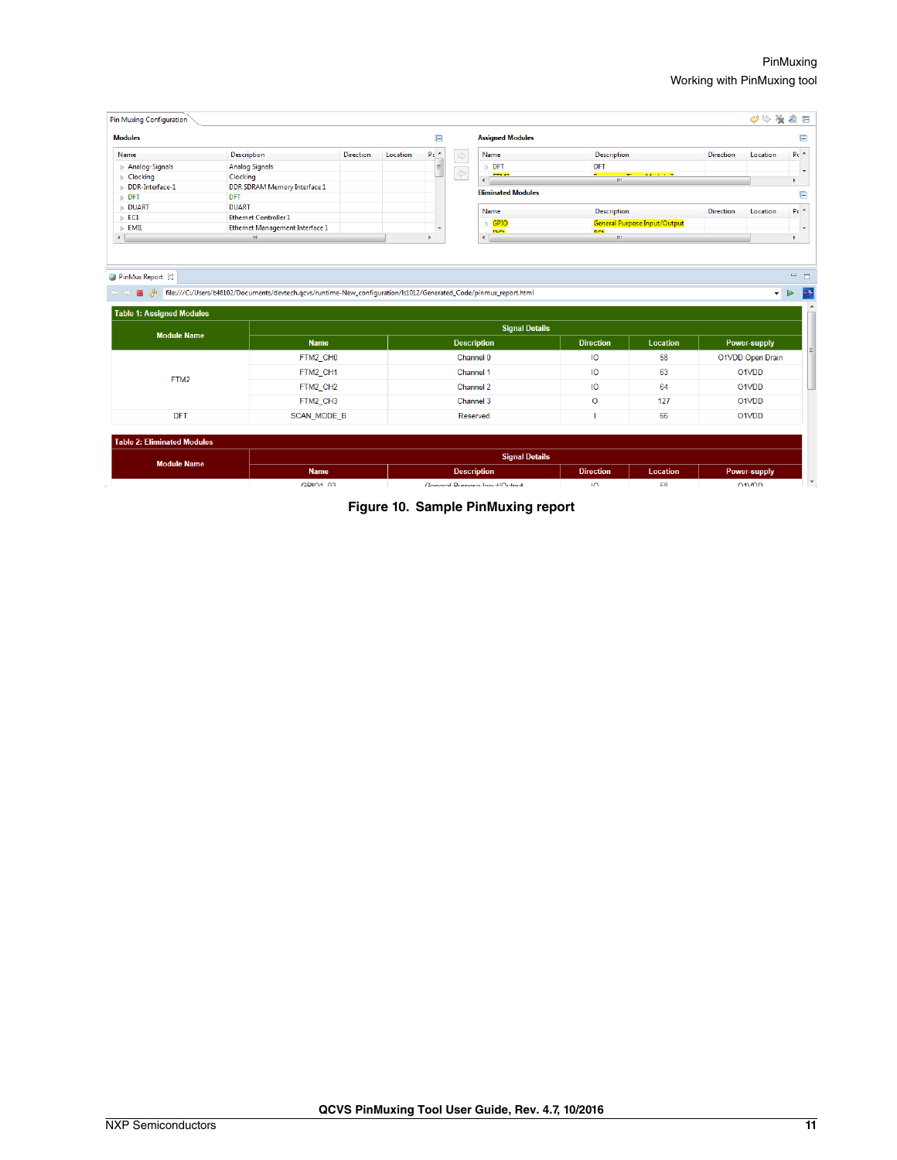| <b>Pin Muxing Configuration</b>    |                                 |                  |          |                        |                                                     |                                     |                                       |                  | $\mathcal{O}$<br>塗 | €              |  |  |  |  |  |  |  |  |  |  |  |  |           |    |    |  |       |  |
|------------------------------------|---------------------------------|------------------|----------|------------------------|-----------------------------------------------------|-------------------------------------|---------------------------------------|------------------|--------------------|----------------|--|--|--|--|--|--|--|--|--|--|--|--|-----------|----|----|--|-------|--|
| <b>Modules</b>                     |                                 |                  |          | E                      | <b>Assigned Modules</b>                             |                                     |                                       |                  |                    |                |  |  |  |  |  |  |  |  |  |  |  |  |           |    |    |  |       |  |
| Name                               | <b>Description</b>              | <b>Direction</b> | Location | P <sub>C</sub>         | $\Rightarrow$<br>Name                               | <b>Description</b>                  |                                       | <b>Direction</b> | Location           | $P_0$ $\sim$   |  |  |  |  |  |  |  |  |  |  |  |  |           |    |    |  |       |  |
| $\triangleright$ Analog-Signals    | <b>Analog Signals</b>           |                  |          | $\equiv$               | $\triangleright$ DFT                                | DFT                                 |                                       |                  |                    |                |  |  |  |  |  |  |  |  |  |  |  |  |           |    |    |  |       |  |
| $\triangleright$ Clocking          | Clocking                        |                  |          |                        | $\Leftrightarrow$<br><b>CTLAN</b><br>$\overline{a}$ | e i s<br>m.                         | <b>The Contract Contract Contract</b> |                  |                    | $\overline{ }$ |  |  |  |  |  |  |  |  |  |  |  |  |           |    |    |  |       |  |
| DDR-Interface-1                    | DDR SDRAM Memory Interface 1    |                  |          |                        | <b>Eliminated Modules</b>                           |                                     |                                       |                  |                    |                |  |  |  |  |  |  |  |  |  |  |  |  |           |    |    |  |       |  |
| $D$ DFT                            | DFT                             |                  |          |                        |                                                     |                                     |                                       |                  |                    |                |  |  |  |  |  |  |  |  |  |  |  |  |           |    |    |  |       |  |
| <b>DUART</b>                       | <b>DUART</b>                    |                  |          |                        | Name                                                |                                     | Description                           |                  | Location           | $p_c$ $\sim$   |  |  |  |  |  |  |  |  |  |  |  |  |           |    |    |  |       |  |
| $\triangleright$ EC1               | <b>Ethernet Controller 1</b>    |                  |          |                        | $\triangleright$ GPIO                               | <b>General Purpose Input/Output</b> |                                       |                  |                    |                |  |  |  |  |  |  |  |  |  |  |  |  |           |    |    |  |       |  |
| $\triangleright$ EMI1              | Ethernet Management Interface 1 |                  |          | ٠                      | <b>DOM</b>                                          | <b>HATE</b>                         |                                       |                  |                    |                |  |  |  |  |  |  |  |  |  |  |  |  |           |    |    |  |       |  |
| $\leftarrow$                       | m.                              |                  |          |                        | $\leftarrow$                                        | $\mathbf{m}$                        |                                       |                  |                    |                |  |  |  |  |  |  |  |  |  |  |  |  |           |    |    |  |       |  |
| <b>Table 1: Assigned Modules</b>   |                                 |                  |          |                        | <b>Signal Details</b>                               |                                     |                                       |                  |                    |                |  |  |  |  |  |  |  |  |  |  |  |  |           |    |    |  |       |  |
| <b>Module Name</b>                 | <b>Name</b>                     |                  |          |                        | <b>Description</b>                                  | <b>Direction</b>                    | <b>Location</b>                       |                  | Power-supply       |                |  |  |  |  |  |  |  |  |  |  |  |  |           |    |    |  |       |  |
|                                    | FTM2_CH0                        |                  |          | Channel 0<br><b>IO</b> |                                                     |                                     | 58                                    | O1VDD Open Drain |                    |                |  |  |  |  |  |  |  |  |  |  |  |  |           |    |    |  |       |  |
| FTM2                               | FTM2 CH1                        |                  |          |                        | Channel 1                                           | IО                                  | 63                                    |                  | O1VDD              |                |  |  |  |  |  |  |  |  |  |  |  |  |           |    |    |  |       |  |
|                                    | FTM2 CH2                        |                  |          |                        |                                                     |                                     |                                       |                  |                    |                |  |  |  |  |  |  |  |  |  |  |  |  | Channel 2 | IO | 64 |  | O1VDD |  |
|                                    |                                 | FTM2_CH3         |          |                        | Channel 3                                           | $\circ$                             | 127                                   |                  | O1VDD              |                |  |  |  |  |  |  |  |  |  |  |  |  |           |    |    |  |       |  |
| <b>DFT</b>                         | <b>SCAN MODE B</b>              |                  |          |                        | Reserved                                            |                                     | 66                                    |                  | O1VDD              |                |  |  |  |  |  |  |  |  |  |  |  |  |           |    |    |  |       |  |
| <b>Table 2: Eliminated Modules</b> |                                 |                  |          |                        |                                                     |                                     |                                       |                  |                    |                |  |  |  |  |  |  |  |  |  |  |  |  |           |    |    |  |       |  |
|                                    |                                 |                  |          |                        | <b>Signal Details</b>                               |                                     |                                       |                  |                    |                |  |  |  |  |  |  |  |  |  |  |  |  |           |    |    |  |       |  |
| <b>Module Name</b>                 | <b>Name</b>                     |                  |          |                        | <b>Description</b>                                  | <b>Direction</b>                    | <b>Location</b>                       |                  | Power-supply       |                |  |  |  |  |  |  |  |  |  |  |  |  |           |    |    |  |       |  |
|                                    | CRIO1 03                        |                  |          |                        | Conoral Durnoco Innut/Output                        | $\sqrt{ }$                          | ER.                                   |                  | 043/DD             |                |  |  |  |  |  |  |  |  |  |  |  |  |           |    |    |  |       |  |

**Figure 10. Sample PinMuxing report**